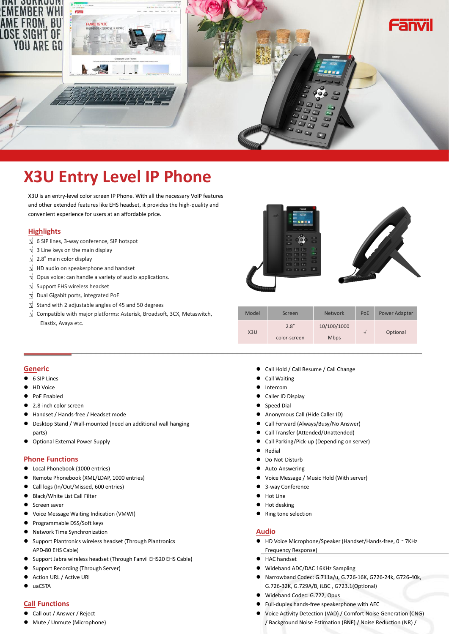

# **X3U Entry Level IP Phone**

X3U is an entry-level color screen IP Phone. With all the necessary VoIP features and other extended features like EHS headset, it provides the high-quality and convenient experience for users at an affordable price.

# **Highlights**

- □<sup>√</sup> <sup>6</sup> SIP lines, 3-way conference, SIP hotspot
- □<sup>√</sup> <sup>3</sup> Line keys on the main display
- $\overrightarrow{v}$  2.8" main color display
- □<sup>√</sup> HD audio on speakerphone and handset
- □<sup>√</sup> Opus voice:can handle <sup>a</sup> variety of audio applications. □<sup>√</sup> Support EHS wireless headset
- 
- □<sup>√</sup> Dual Gigabit ports, integrated PoE
- □<sup>√</sup> Stand with <sup>2</sup> adjustable angles of <sup>45</sup> and <sup>50</sup> degrees
- 



| $\frac{1}{1}$ station with a adjustable drights of 13 and 30 acgrees             |                  |              |                |     |               |
|----------------------------------------------------------------------------------|------------------|--------------|----------------|-----|---------------|
| $\forall$ Compatible with major platforms: Asterisk, Broadsoft, 3CX, Metaswitch, | Model            | Screen       | <b>Network</b> | PoE | Power Adapter |
| Elastix, Avaya etc.                                                              | X <sub>3</sub> U | 2.8"         | 10/100/1000    |     | Optional      |
|                                                                                  |                  | color-screen | <b>Mbps</b>    |     |               |

## **Generic**

- 6 SIP Lines
- HD Voice
- PoE Enabled
- 2.8-inch color screen
- Handset / Hands-free / Headset mode
- Desktop Stand / Wall-mounted (need an additional wall hanging parts)
- Optional External Power Supply

## **Phone Functions**

- Local Phonebook (1000 entries)
- Remote Phonebook (XML/LDAP, 1000 entries)
- Call logs (In/Out/Missed, 600 entries)
- Black/White List Call Filter
- Screen saver
- Voice Message Waiting Indication (VMWI)
- **•** Programmable DSS/Soft keys
- Network Time Synchronization
- Support Plantronics wireless headset (Through Plantronics APD-80 EHS Cable)
- Support Jabra wireless headset (Through Fanvil EHS20 EHS Cable)
- Support Recording (Through Server)
- Action URL / Active URI
- $\bullet$  uaCSTA

## **Call Functions**

- Call out / Answer / Reject
- Mute / Unmute (Microphone)
- Call Hold / Call Resume / Call Change
- Call Waiting
- **O** Intercom
- Caller ID Display
- Speed Dial
- Anonymous Call (Hide Caller ID)
- Call Forward (Always/Busy/No Answer)
- Call Transfer (Attended/Unattended)
- Call Parking/Pick-up (Depending on server)
- **•** Redial
- Do-Not-Disturb
- Auto-Answering
- Voice Message / Music Hold (With server)
- 3-way Conference
- Hot Line
- Hot desking
- Ring tone selection

#### **Audio**

- HD Voice Microphone/Speaker (Handset/Hands-free, 0 ~ 7KHz Frequency Response)
- HAC handset
- Wideband ADC/DAC 16KHz Sampling
- Narrowband Codec: G.711a/u, G.726-16K, G726-24k, G726-40k, G.726-32K, G.729A/B, iLBC , G723.1(Optional)
- Wideband Codec: G.722, Opus
- Full-duplex hands-free speakerphone with AEC
- Voice Activity Detection (VAD) / Comfort Noise Generation (CNG) / Background Noise Estimation (BNE) / Noise Reduction (NR) /